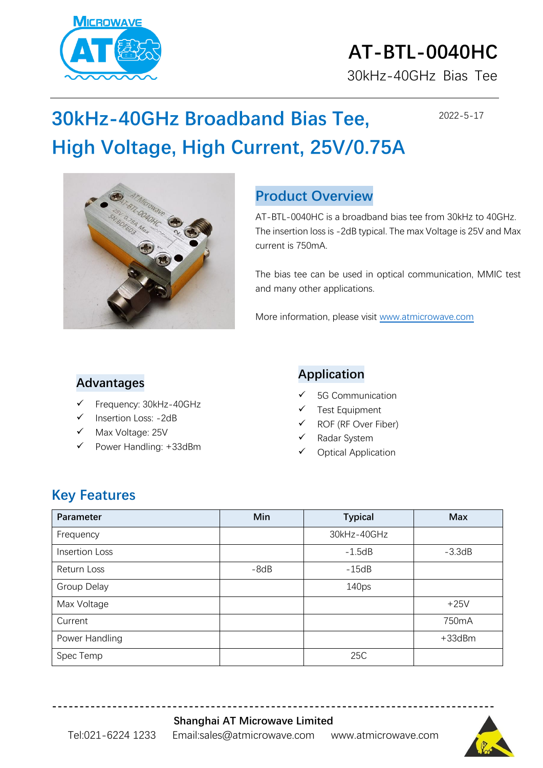

# **AT-BTL-0040HC**

30kHz-40GHz Bias Tee

2022-5-17

## **30kHz-40GHz Broadband Bias Tee, High Voltage, High Current, 25V/0.75A**



#### **Product Overview**

AT-BTL-0040HC is a broadband bias tee from 30kHz to 40GHz. The insertion loss is -2dB typical. The max Voltage is 25V and Max current is 750mA.

The bias tee can be used in optical communication, MMIC test and many other applications.

More information, please visit [www.atmicrowave.com](http://www.atmicrowave.com/)

#### **Advantages**

- Frequency: 30kHz-40GHz
- Insertion Loss: -2dB
- Max Voltage: 25V
- Power Handling: +33dBm

#### **Application**

- 5G Communication
- **Test Equipment**
- ROF (RF Over Fiber)
- Radar System
- **Optical Application**

#### **Key Features**

| Parameter      | Min    | <b>Typical</b> | <b>Max</b>   |
|----------------|--------|----------------|--------------|
| Frequency      |        | 30kHz-40GHz    |              |
| Insertion Loss |        | $-1.5dB$       | $-3.3dB$     |
| Return Loss    | $-8dB$ | $-15dB$        |              |
| Group Delay    |        | 140ps          |              |
| Max Voltage    |        |                | $+25V$       |
| Current        |        |                | 750mA        |
| Power Handling |        |                | $+33$ d $Bm$ |
| Spec Temp      |        | 25C            |              |

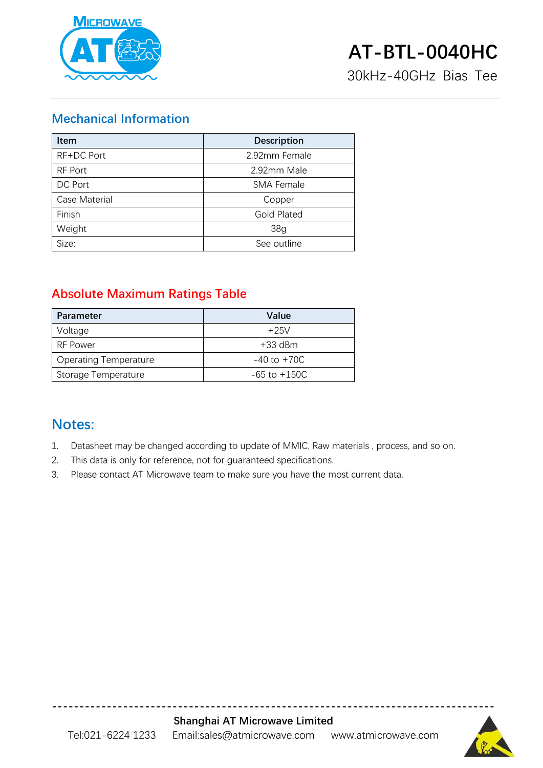

30kHz-40GHz Bias Tee

#### **Mechanical Information**

| <b>Item</b>   | <b>Description</b> |
|---------------|--------------------|
| RF+DC Port    | 2.92mm Female      |
| RF Port       | 2.92mm Male        |
| DC Port       | <b>SMA Female</b>  |
| Case Material | Copper             |
| Finish        | <b>Gold Plated</b> |
| Weight        | 38 <sub>g</sub>    |
| Size:         | See outline        |

#### **Absolute Maximum Ratings Table**

| <b>Parameter</b>             | Value            |
|------------------------------|------------------|
| Voltage                      | $+25V$           |
| RF Power                     | $+33$ dBm        |
| <b>Operating Temperature</b> | $-40$ to $+70C$  |
| Storage Temperature          | $-65$ to $+150C$ |

#### **Notes:**

- 1. Datasheet may be changed according to update of MMIC, Raw materials , process, and so on.
- 2. This data is only for reference, not for guaranteed specifications.
- 3. Please contact AT Microwave team to make sure you have the most current data.



**---------------------------------------------------------------------------------**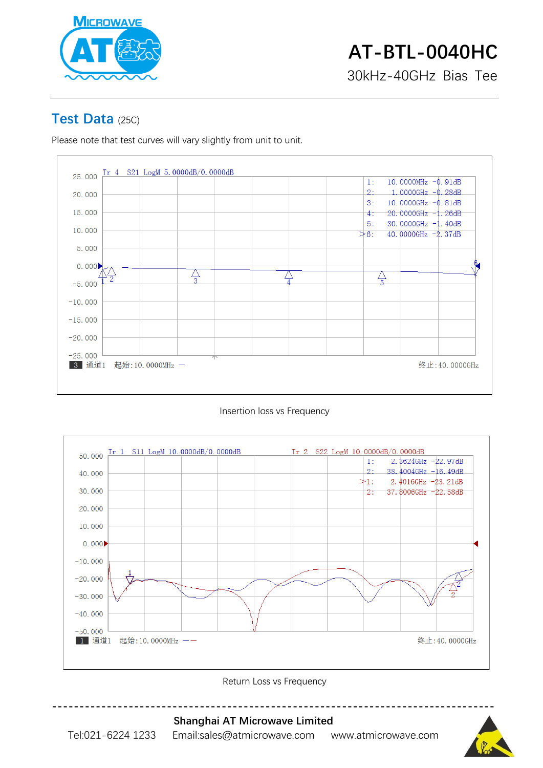

#### **Test Data** (25C)

Please note that test curves will vary slightly from unit to unit.







Return Loss vs Frequency



Tel:021-6224 1233 Email:sales@atmicrowave.com www.atmicrowave.com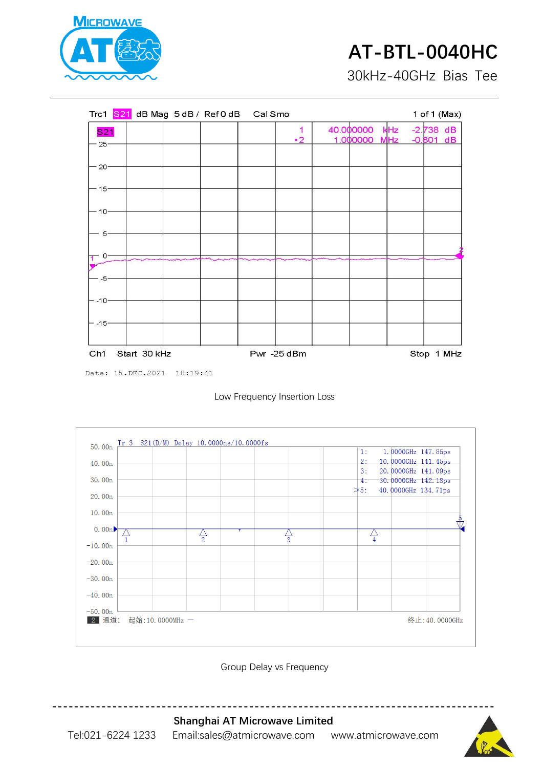

### **AT-BTL-0040HC**

30kHz-40GHz Bias Tee

|                     |              | Trc1 S21 dB Mag 5 dB / Ref0 dB Cal Smo |                |                       |                   |                            | 1 of 1 (Max) |
|---------------------|--------------|----------------------------------------|----------------|-----------------------|-------------------|----------------------------|--------------|
| <b>S21</b><br>- 25- |              |                                        | 1<br>$\cdot$ 2 | 40.000000<br>1.000000 | kHz<br><b>MHz</b> | $-2.738$ dB<br>$-0.801$ dB |              |
|                     |              |                                        |                |                       |                   |                            |              |
| $-20-$              |              |                                        |                |                       |                   |                            |              |
| - 15-               |              |                                        |                |                       |                   |                            |              |
| $10 -$              |              |                                        |                |                       |                   |                            |              |
| $5-$                |              |                                        |                |                       |                   |                            |              |
| 0-<br>$-5-$         |              |                                        |                |                       |                   |                            |              |
| $- -10-$            |              |                                        |                |                       |                   |                            |              |
| $-15-$              |              |                                        |                |                       |                   |                            |              |
|                     |              |                                        |                |                       |                   |                            |              |
| Ch <sub>1</sub>     | Start 30 kHz |                                        | Pwr -25 dBm    |                       |                   |                            | Stop 1 MHz   |

Date: 15. DEC. 2021 18:19:41





Group Delay vs Frequency



**Shanghai AT Microwave Limited** Tel:021-6224 1233 Email:sales@atmicrowave.com www.atmicrowave.com